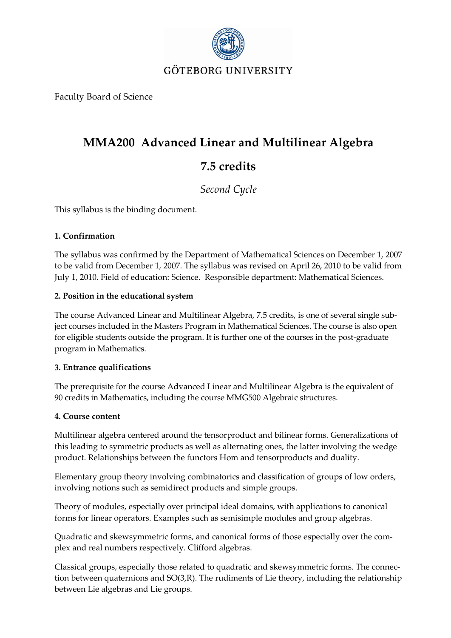

Faculty Board of Science

# **MMA200 Advanced Linear and Multilinear Algebra 7.5 credits**

# *Second Cycle*

This syllabus is the binding document.

# **1. Confirmation**

The syllabus was confirmed by the Department of Mathematical Sciences on December 1, 2007 to be valid from December 1, 2007. The syllabus was revised on April 26, 2010 to be valid from July 1, 2010. Field of education: Science. Responsible department: Mathematical Sciences.

# **2. Position in the educational system**

The course Advanced Linear and Multilinear Algebra, 7.5 credits, is one of several single subject courses included in the Masters Program in Mathematical Sciences. The course is also open for eligible students outside the program. It is further one of the courses in the post-graduate program in Mathematics.

# **3. Entrance qualifications**

The prerequisite for the course Advanced Linear and Multilinear Algebra is the equivalent of 90 credits in Mathematics, including the course MMG500 Algebraic structures.

# **4. Course content**

Multilinear algebra centered around the tensorproduct and bilinear forms. Generalizations of this leading to symmetric products as well as alternating ones, the latter involving the wedge product. Relationships between the functors Hom and tensorproducts and duality.

Elementary group theory involving combinatorics and classification of groups of low orders, involving notions such as semidirect products and simple groups.

Theory of modules, especially over principal ideal domains, with applications to canonical forms for linear operators. Examples such as semisimple modules and group algebras.

Quadratic and skewsymmetric forms, and canonical forms of those especially over the complex and real numbers respectively. Clifford algebras.

Classical groups, especially those related to quadratic and skewsymmetric forms. The connection between quaternions and SO(3,R). The rudiments of Lie theory, including the relationship between Lie algebras and Lie groups.